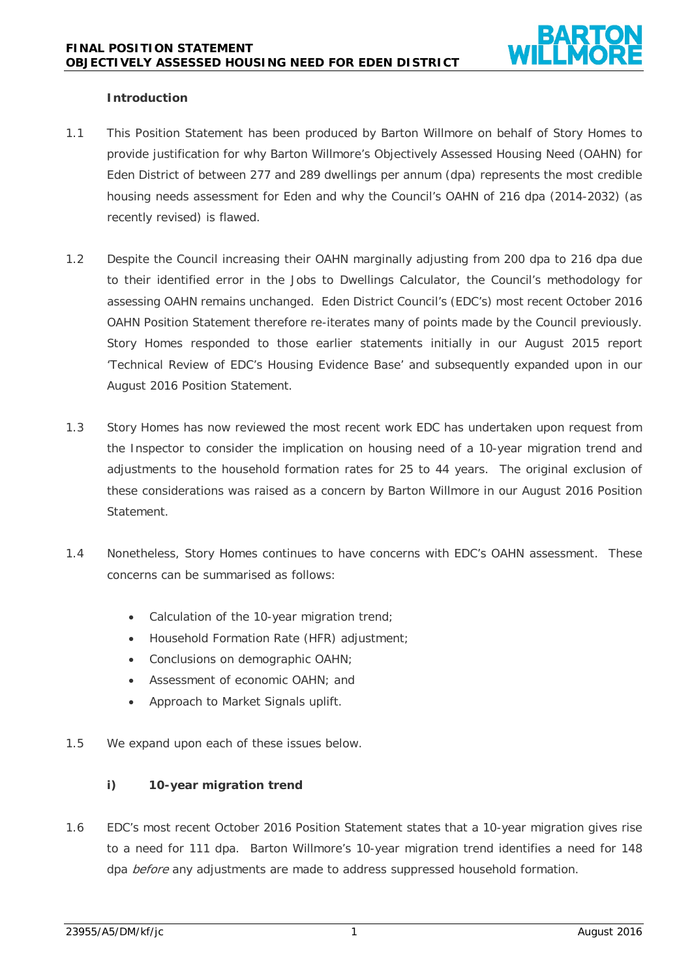### **Introduction**

- 1.1 This Position Statement has been produced by Barton Willmore on behalf of Story Homes to provide justification for why Barton Willmore's Objectively Assessed Housing Need (OAHN) for Eden District of between 277 and 289 dwellings per annum (dpa) represents the most credible housing needs assessment for Eden and why the Council's OAHN of 216 dpa (2014-2032) (as recently revised) is flawed.
- 1.2 Despite the Council increasing their OAHN marginally adjusting from 200 dpa to 216 dpa due to their identified error in the Jobs to Dwellings Calculator, the Council's methodology for assessing OAHN remains unchanged. Eden District Council's (EDC's) most recent October 2016 OAHN Position Statement therefore re-iterates many of points made by the Council previously. Story Homes responded to those earlier statements initially in our August 2015 report 'Technical Review of EDC's Housing Evidence Base' and subsequently expanded upon in our August 2016 Position Statement.
- 1.3 Story Homes has now reviewed the most recent work EDC has undertaken upon request from the Inspector to consider the implication on housing need of a 10-year migration trend and adjustments to the household formation rates for 25 to 44 years. The original exclusion of these considerations was raised as a concern by Barton Willmore in our August 2016 Position Statement.
- 1.4 Nonetheless, Story Homes continues to have concerns with EDC's OAHN assessment. These concerns can be summarised as follows:
	- Calculation of the 10-year migration trend;
	- Household Formation Rate (HFR) adjustment;
	- Conclusions on demographic OAHN;
	- Assessment of economic OAHN; and
	- Approach to Market Signals uplift.
- 1.5 We expand upon each of these issues below.

# **i) 10-year migration trend**

1.6 EDC's most recent October 2016 Position Statement states that a 10-year migration gives rise to a need for 111 dpa. Barton Willmore's 10-year migration trend identifies a need for 148 dpa before any adjustments are made to address suppressed household formation.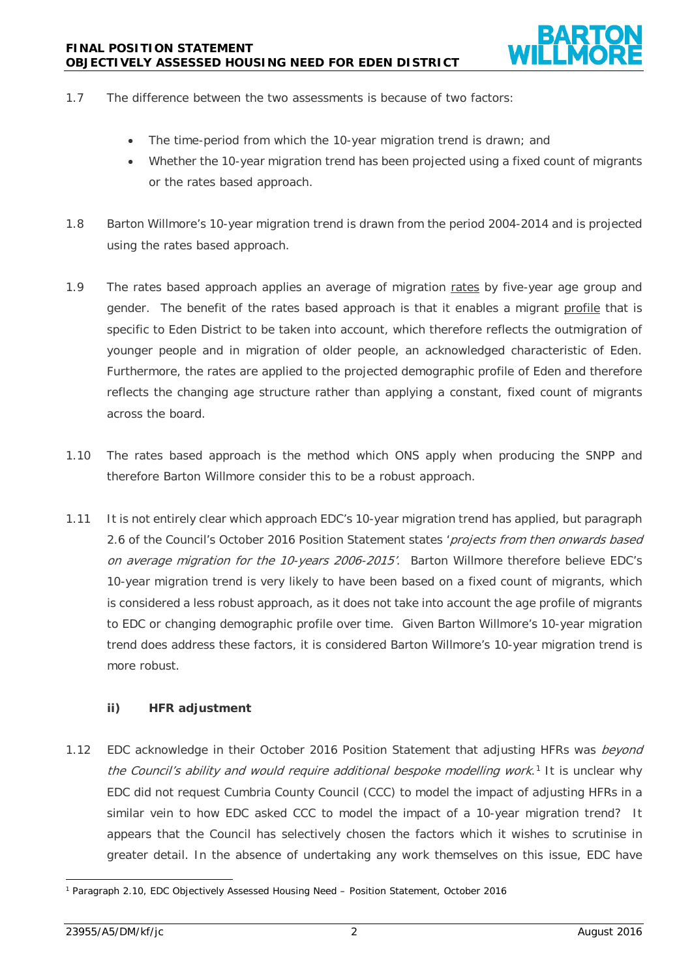- 1.7 The difference between the two assessments is because of two factors:
	- The time-period from which the 10-year migration trend is drawn; and
	- Whether the 10-year migration trend has been projected using a fixed count of migrants or the rates based approach.
- 1.8 Barton Willmore's 10-year migration trend is drawn from the period 2004-2014 and is projected using the rates based approach.
- 1.9 The rates based approach applies an average of migration rates by five-year age group and gender. The benefit of the rates based approach is that it enables a migrant profile that is specific to Eden District to be taken into account, which therefore reflects the outmigration of younger people and in migration of older people, an acknowledged characteristic of Eden. Furthermore, the rates are applied to the projected demographic profile of Eden and therefore reflects the changing age structure rather than applying a constant, fixed count of migrants across the board.
- 1.10 The rates based approach is the method which ONS apply when producing the SNPP and therefore Barton Willmore consider this to be a robust approach.
- 1.11 It is not entirely clear which approach EDC's 10-year migration trend has applied, but paragraph 2.6 of the Council's October 2016 Position Statement states 'projects from then onwards based on average migration for the 10-years 2006-2015'. Barton Willmore therefore believe EDC's 10-year migration trend is very likely to have been based on a fixed count of migrants, which is considered a less robust approach, as it does not take into account the age profile of migrants to EDC or changing demographic profile over time. Given Barton Willmore's 10-year migration trend does address these factors, it is considered Barton Willmore's 10-year migration trend is more robust.

# **ii) HFR adjustment**

1.12 EDC acknowledge in their October 2016 Position Statement that adjusting HFRs was beyond the Council's ability and would require additional bespoke modelling work.<sup>[1](#page-1-0)</sup> It is unclear why EDC did not request Cumbria County Council (CCC) to model the impact of adjusting HFRs in a similar vein to how EDC asked CCC to model the impact of a 10-year migration trend? It appears that the Council has selectively chosen the factors which it wishes to scrutinise in greater detail. In the absence of undertaking any work themselves on this issue, EDC have

<span id="page-1-0"></span> <sup>1</sup> Paragraph 2.10, EDC Objectively Assessed Housing Need – Position Statement, October 2016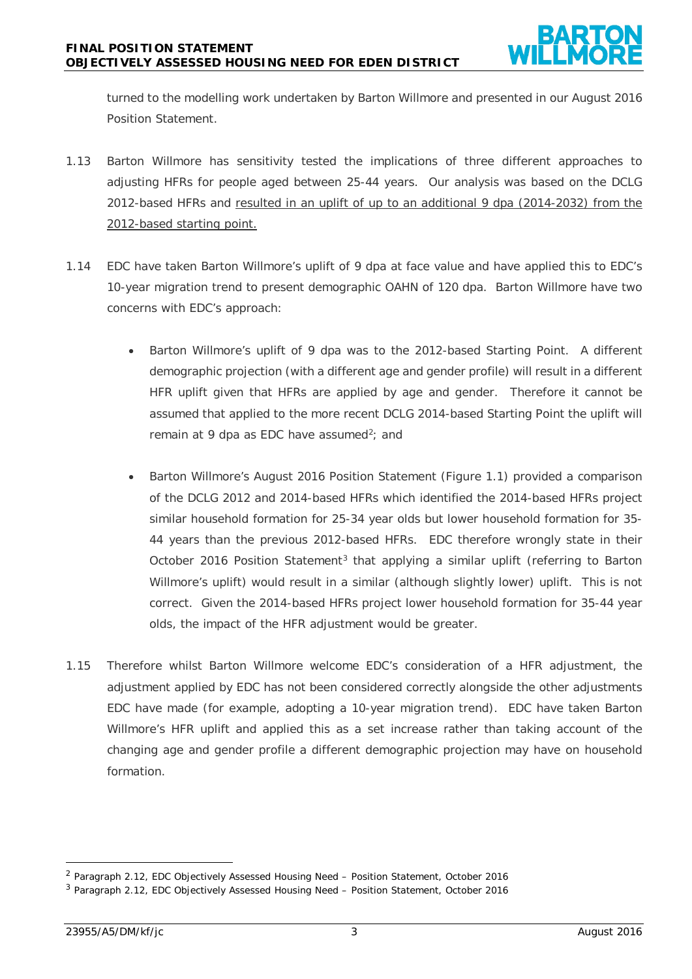turned to the modelling work undertaken by Barton Willmore and presented in our August 2016 Position Statement.

- 1.13 Barton Willmore has sensitivity tested the implications of three different approaches to adjusting HFRs for people aged between 25-44 years. Our analysis was based on the DCLG 2012-based HFRs and resulted in an uplift of up to an additional 9 dpa (2014-2032) from the 2012-based starting point.
- 1.14 EDC have taken Barton Willmore's uplift of 9 dpa at face value and have applied this to EDC's 10-year migration trend to present demographic OAHN of 120 dpa. Barton Willmore have two concerns with EDC's approach:
	- Barton Willmore's uplift of 9 dpa was to the 2012-based Starting Point. A different demographic projection (with a different age and gender profile) will result in a different HFR uplift given that HFRs are applied by age and gender. Therefore it cannot be assumed that applied to the more recent DCLG 2014-based Starting Point the uplift will remain at 9 dpa as EDC have assumed<sup>2</sup>; and
	- Barton Willmore's August 2016 Position Statement (Figure 1.1) provided a comparison of the DCLG 2012 and 2014-based HFRs which identified the 2014-based HFRs project similar household formation for 25-34 year olds but lower household formation for 35- 44 years than the previous 2012-based HFRs. EDC therefore wrongly state in their October 2016 Position Statement<sup>[3](#page-2-1)</sup> that applying a similar uplift (referring to Barton Willmore's uplift) would result in a similar (although slightly lower) uplift. This is not correct. Given the 2014-based HFRs project lower household formation for 35-44 year olds, the impact of the HFR adjustment would be greater.
- 1.15 Therefore whilst Barton Willmore welcome EDC's consideration of a HFR adjustment, the adjustment applied by EDC has not been considered correctly alongside the other adjustments EDC have made (for example, adopting a 10-year migration trend). EDC have taken Barton Willmore's HFR uplift and applied this as a set increase rather than taking account of the changing age and gender profile a different demographic projection may have on household formation.

<span id="page-2-0"></span> <sup>2</sup> Paragraph 2.12, EDC Objectively Assessed Housing Need – Position Statement, October 2016

<span id="page-2-1"></span><sup>3</sup> Paragraph 2.12, EDC Objectively Assessed Housing Need – Position Statement, October 2016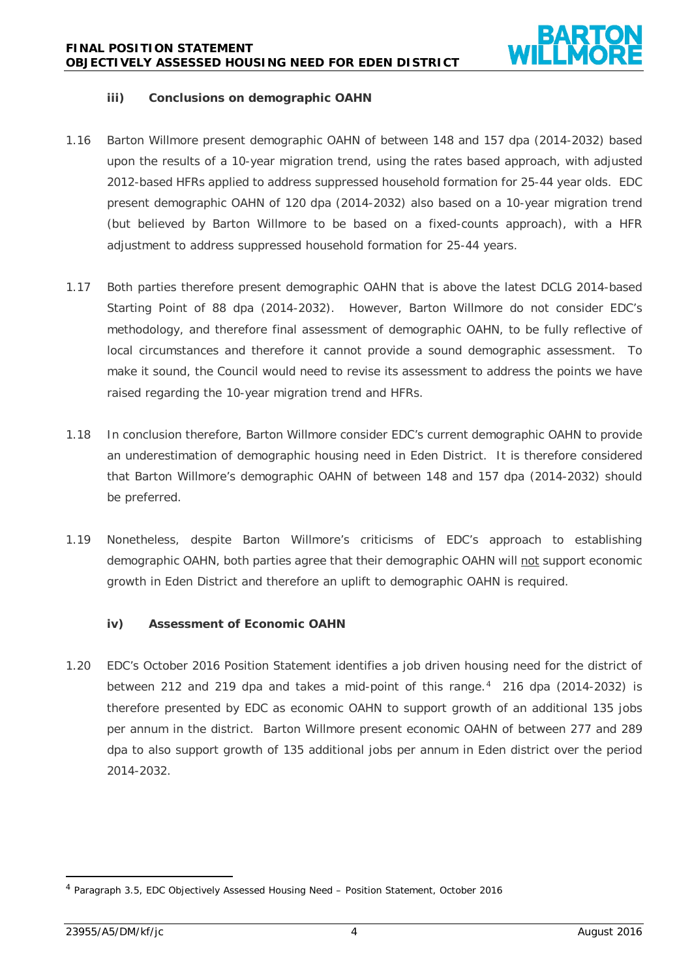

### **iii) Conclusions on demographic OAHN**

- 1.16 Barton Willmore present demographic OAHN of between 148 and 157 dpa (2014-2032) based upon the results of a 10-year migration trend, using the rates based approach, with adjusted 2012-based HFRs applied to address suppressed household formation for 25-44 year olds. EDC present demographic OAHN of 120 dpa (2014-2032) also based on a 10-year migration trend (but believed by Barton Willmore to be based on a fixed-counts approach), with a HFR adjustment to address suppressed household formation for 25-44 years.
- 1.17 Both parties therefore present demographic OAHN that is above the latest DCLG 2014-based Starting Point of 88 dpa (2014-2032). However, Barton Willmore do not consider EDC's methodology, and therefore final assessment of demographic OAHN, to be fully reflective of local circumstances and therefore it cannot provide a sound demographic assessment. To make it sound, the Council would need to revise its assessment to address the points we have raised regarding the 10-year migration trend and HFRs.
- 1.18 In conclusion therefore, Barton Willmore consider EDC's current demographic OAHN to provide an underestimation of demographic housing need in Eden District. It is therefore considered that Barton Willmore's demographic OAHN of between 148 and 157 dpa (2014-2032) should be preferred.
- 1.19 Nonetheless, despite Barton Willmore's criticisms of EDC's approach to establishing demographic OAHN, both parties agree that their demographic OAHN will not support economic growth in Eden District and therefore an uplift to demographic OAHN is required.

# **iv) Assessment of Economic OAHN**

1.20 EDC's October 2016 Position Statement identifies a job driven housing need for the district of between 212 and 219 dpa and takes a mid-point of this range.<sup>4</sup> 216 dpa (2014-2032) is therefore presented by EDC as economic OAHN to support growth of an additional 135 jobs per annum in the district. Barton Willmore present economic OAHN of between 277 and 289 dpa to also support growth of 135 additional jobs per annum in Eden district over the period 2014-2032.

<span id="page-3-0"></span> <sup>4</sup> Paragraph 3.5, EDC Objectively Assessed Housing Need – Position Statement, October 2016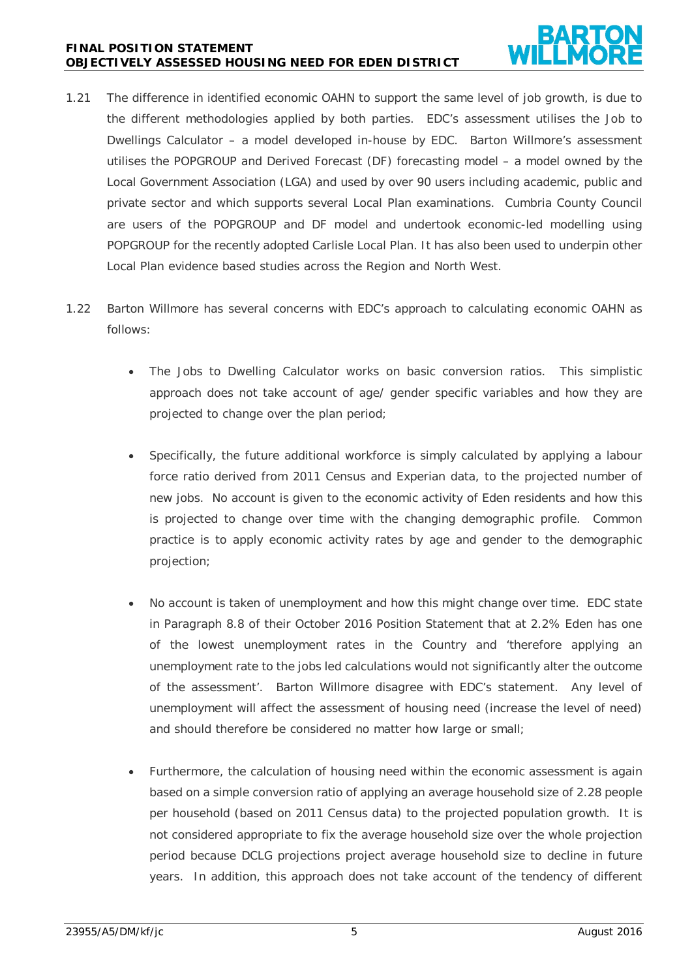#### **FINAL POSITION STATEMENT OBJECTIVELY ASSESSED HOUSING NEED FOR EDEN DISTRICT**



- 1.21 The difference in identified economic OAHN to support the same level of job growth, is due to the different methodologies applied by both parties. EDC's assessment utilises the Job to Dwellings Calculator – a model developed in-house by EDC. Barton Willmore's assessment utilises the POPGROUP and Derived Forecast (DF) forecasting model – a model owned by the Local Government Association (LGA) and used by over 90 users including academic, public and private sector and which supports several Local Plan examinations. Cumbria County Council are users of the POPGROUP and DF model and undertook economic-led modelling using POPGROUP for the recently adopted Carlisle Local Plan. It has also been used to underpin other Local Plan evidence based studies across the Region and North West.
- 1.22 Barton Willmore has several concerns with EDC's approach to calculating economic OAHN as follows:
	- The Jobs to Dwelling Calculator works on basic conversion ratios. This simplistic approach does not take account of age/ gender specific variables and how they are projected to change over the plan period;
	- Specifically, the future additional workforce is simply calculated by applying a labour force ratio derived from 2011 Census and Experian data, to the projected number of new jobs. No account is given to the economic activity of Eden residents and how this is projected to change over time with the changing demographic profile. Common practice is to apply economic activity rates by age and gender to the demographic projection;
	- No account is taken of unemployment and how this might change over time. EDC state in Paragraph 8.8 of their October 2016 Position Statement that at 2.2% Eden has one of the lowest unemployment rates in the Country and 'therefore applying an unemployment rate to the jobs led calculations would not significantly alter the outcome of the assessment'. Barton Willmore disagree with EDC's statement. Any level of unemployment will affect the assessment of housing need (increase the level of need) and should therefore be considered no matter how large or small;
	- Furthermore, the calculation of housing need within the economic assessment is again based on a simple conversion ratio of applying an average household size of 2.28 people per household (based on 2011 Census data) to the projected population growth. It is not considered appropriate to fix the average household size over the whole projection period because DCLG projections project average household size to decline in future years. In addition, this approach does not take account of the tendency of different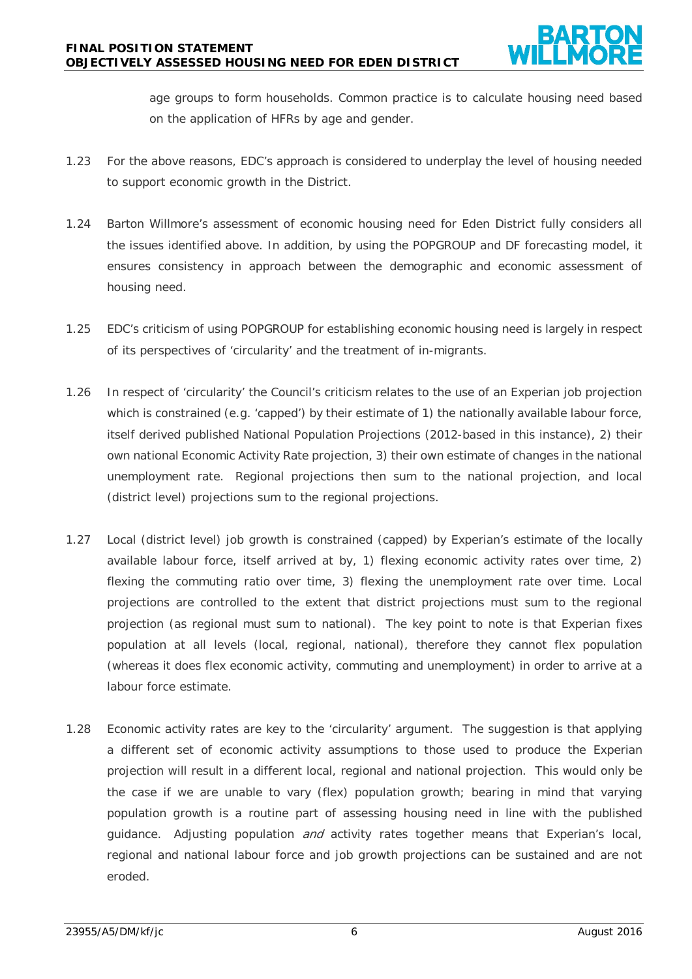age groups to form households. Common practice is to calculate housing need based on the application of HFRs by age and gender.

- 1.23 For the above reasons, EDC's approach is considered to underplay the level of housing needed to support economic growth in the District.
- 1.24 Barton Willmore's assessment of economic housing need for Eden District fully considers all the issues identified above. In addition, by using the POPGROUP and DF forecasting model, it ensures consistency in approach between the demographic and economic assessment of housing need.
- 1.25 EDC's criticism of using POPGROUP for establishing economic housing need is largely in respect of its perspectives of 'circularity' and the treatment of in-migrants.
- 1.26 In respect of 'circularity' the Council's criticism relates to the use of an Experian job projection which is constrained (e.g. 'capped') by their estimate of 1) the nationally available labour force, itself derived published National Population Projections (2012-based in this instance), 2) their own national Economic Activity Rate projection, 3) their own estimate of changes in the national unemployment rate. Regional projections then sum to the national projection, and local (district level) projections sum to the regional projections.
- 1.27 Local (district level) job growth is constrained (capped) by Experian's estimate of the locally available labour force, itself arrived at by, 1) flexing economic activity rates over time, 2) flexing the commuting ratio over time, 3) flexing the unemployment rate over time. Local projections are controlled to the extent that district projections must sum to the regional projection (as regional must sum to national). The key point to note is that Experian fixes population at all levels (local, regional, national), therefore they cannot flex population (whereas it does flex economic activity, commuting and unemployment) in order to arrive at a labour force estimate.
- 1.28 Economic activity rates are key to the 'circularity' argument. The suggestion is that applying a different set of economic activity assumptions to those used to produce the Experian projection will result in a different local, regional and national projection. This would only be the case if we are unable to vary (flex) population growth; bearing in mind that varying population growth is a routine part of assessing housing need in line with the published guidance. Adjusting population and activity rates together means that Experian's local, regional and national labour force and job growth projections can be sustained and are not eroded.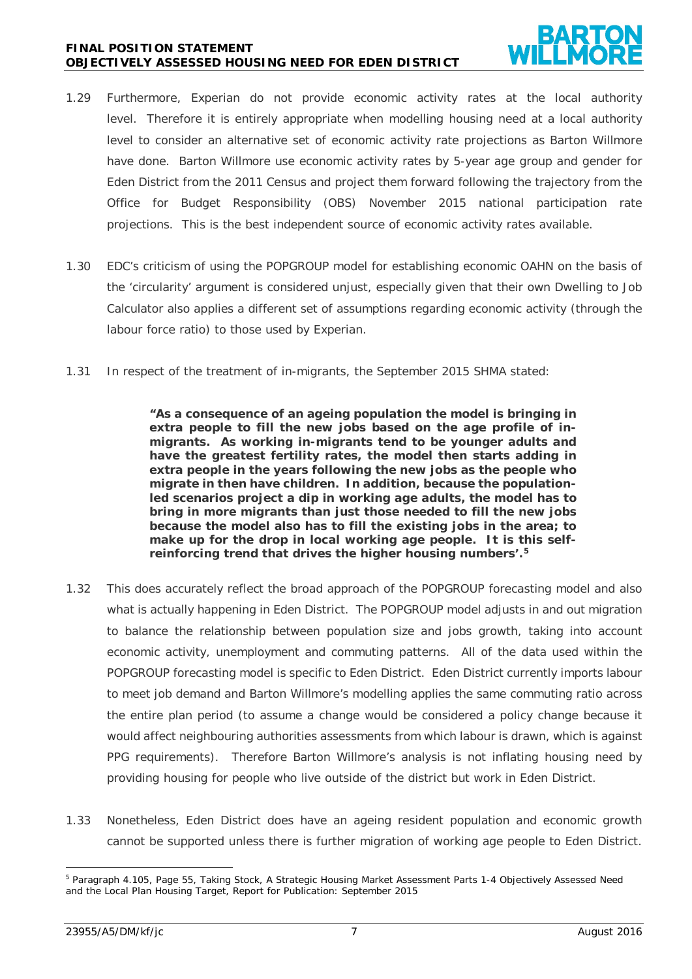#### **FINAL POSITION STATEMENT OBJECTIVELY ASSESSED HOUSING NEED FOR EDEN DISTRICT**

- 1.29 Furthermore, Experian do not provide economic activity rates at the local authority level. Therefore it is entirely appropriate when modelling housing need at a local authority level to consider an alternative set of economic activity rate projections as Barton Willmore have done. Barton Willmore use economic activity rates by 5-year age group and gender for Eden District from the 2011 Census and project them forward following the trajectory from the Office for Budget Responsibility (OBS) November 2015 national participation rate projections. This is the best independent source of economic activity rates available.
- 1.30 EDC's criticism of using the POPGROUP model for establishing economic OAHN on the basis of the 'circularity' argument is considered unjust, especially given that their own Dwelling to Job Calculator also applies a different set of assumptions regarding economic activity (through the labour force ratio) to those used by Experian.
- 1.31 In respect of the treatment of in-migrants, the September 2015 SHMA stated:

**"As a consequence of an ageing population the model is bringing in extra people to fill the new jobs based on the age profile of inmigrants. As working in-migrants tend to be younger adults and have the greatest fertility rates, the model then starts adding in extra people in the years following the new jobs as the people who migrate in then have children. In addition, because the populationled scenarios project a dip in working age adults, the model has to bring in more migrants than just those needed to fill the new jobs because the model also has to fill the existing jobs in the area; to make up for the drop in local working age people. It is this selfreinforcing trend that drives the higher housing numbers'. [5](#page-6-0)**

- 1.32 This does accurately reflect the broad approach of the POPGROUP forecasting model and also what is actually happening in Eden District. The POPGROUP model adjusts in and out migration to balance the relationship between population size and jobs growth, taking into account economic activity, unemployment and commuting patterns. All of the data used within the POPGROUP forecasting model is specific to Eden District. Eden District currently imports labour to meet job demand and Barton Willmore's modelling applies the same commuting ratio across the entire plan period (to assume a change would be considered a policy change because it would affect neighbouring authorities assessments from which labour is drawn, which is against PPG requirements). Therefore Barton Willmore's analysis is not inflating housing need by providing housing for people who live outside of the district but work in Eden District.
- 1.33 Nonetheless, Eden District does have an ageing resident population and economic growth cannot be supported unless there is further migration of working age people to Eden District.

<span id="page-6-0"></span> <sup>5</sup> Paragraph 4.105, Page 55, Taking Stock, A Strategic Housing Market Assessment Parts 1-4 Objectively Assessed Need and the Local Plan Housing Target, Report for Publication: September 2015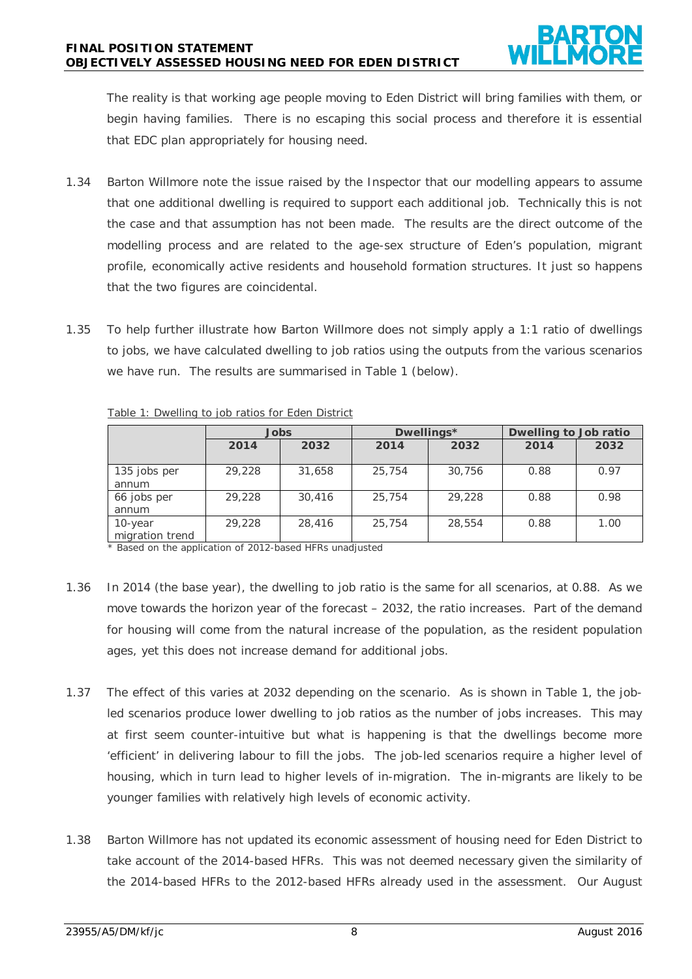The reality is that working age people moving to Eden District will bring families with them, or begin having families. There is no escaping this social process and therefore it is essential that EDC plan appropriately for housing need.

- 1.34 Barton Willmore note the issue raised by the Inspector that our modelling appears to assume that one additional dwelling is required to support each additional job. Technically this is not the case and that assumption has not been made. The results are the direct outcome of the modelling process and are related to the age-sex structure of Eden's population, migrant profile, economically active residents and household formation structures. It just so happens that the two figures are coincidental.
- 1.35 To help further illustrate how Barton Willmore does not simply apply a 1:1 ratio of dwellings to jobs, we have calculated dwelling to job ratios using the outputs from the various scenarios we have run. The results are summarised in Table 1 (below).

|                            | Jobs   |        | Dwellings* |        | Dwelling to Job ratio |      |
|----------------------------|--------|--------|------------|--------|-----------------------|------|
|                            | 2014   | 2032   | 2014       | 2032   | 2014                  | 2032 |
| 135 jobs per<br>annum      | 29,228 | 31,658 | 25,754     | 30,756 | 0.88                  | 0.97 |
| 66 jobs per<br>annum       | 29,228 | 30,416 | 25,754     | 29,228 | 0.88                  | 0.98 |
| 10-year<br>migration trend | 29,228 | 28,416 | 25,754     | 28,554 | 0.88                  | 1.00 |

Table 1: Dwelling to job ratios for Eden District

\* Based on the application of 2012-based HFRs unadjusted

- 1.36 In 2014 (the base year), the dwelling to job ratio is the same for all scenarios, at 0.88. As we move towards the horizon year of the forecast – 2032, the ratio increases. Part of the demand for housing will come from the natural increase of the population, as the resident population ages, yet this does not increase demand for additional jobs.
- 1.37 The effect of this varies at 2032 depending on the scenario. As is shown in Table 1, the jobled scenarios produce lower dwelling to job ratios as the number of jobs increases. This may at first seem counter-intuitive but what is happening is that the dwellings become more 'efficient' in delivering labour to fill the jobs. The job-led scenarios require a higher level of housing, which in turn lead to higher levels of in-migration. The in-migrants are likely to be younger families with relatively high levels of economic activity.
- 1.38 Barton Willmore has not updated its economic assessment of housing need for Eden District to take account of the 2014-based HFRs. This was not deemed necessary given the similarity of the 2014-based HFRs to the 2012-based HFRs already used in the assessment. Our August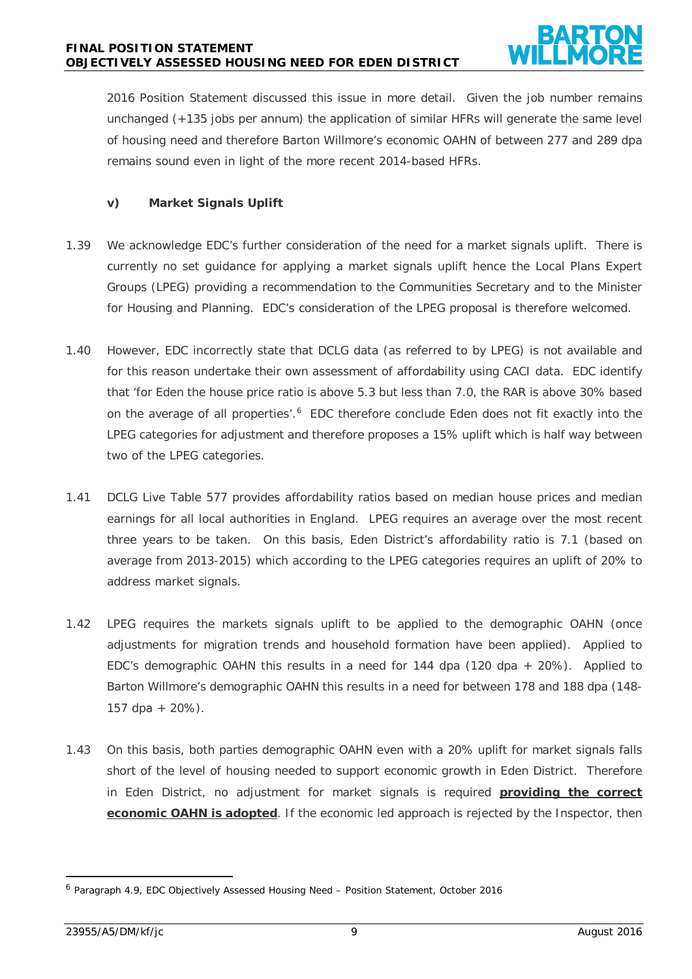2016 Position Statement discussed this issue in more detail. Given the job number remains unchanged (+135 jobs per annum) the application of similar HFRs will generate the same level of housing need and therefore Barton Willmore's economic OAHN of between 277 and 289 dpa remains sound even in light of the more recent 2014-based HFRs.

# **v) Market Signals Uplift**

- 1.39 We acknowledge EDC's further consideration of the need for a market signals uplift. There is currently no set guidance for applying a market signals uplift hence the Local Plans Expert Groups (LPEG) providing a recommendation to the Communities Secretary and to the Minister for Housing and Planning. EDC's consideration of the LPEG proposal is therefore welcomed.
- 1.40 However, EDC incorrectly state that DCLG data (as referred to by LPEG) is not available and for this reason undertake their own assessment of affordability using CACI data. EDC identify that 'for Eden the house price ratio is above 5.3 but less than 7.0, the RAR is above 30% based on the average of all properties'.<sup>[6](#page-8-0)</sup> EDC therefore conclude Eden does not fit exactly into the LPEG categories for adjustment and therefore proposes a 15% uplift which is half way between two of the LPEG categories.
- 1.41 DCLG Live Table 577 provides affordability ratios based on median house prices and median earnings for all local authorities in England. LPEG requires an average over the most recent three years to be taken. On this basis, Eden District's affordability ratio is 7.1 (based on average from 2013-2015) which according to the LPEG categories requires an uplift of 20% to address market signals.
- 1.42 LPEG requires the markets signals uplift to be applied to the demographic OAHN (once adjustments for migration trends and household formation have been applied). Applied to EDC's demographic OAHN this results in a need for 144 dpa (120 dpa + 20%). Applied to Barton Willmore's demographic OAHN this results in a need for between 178 and 188 dpa (148- 157 dpa + 20%).
- 1.43 On this basis, both parties demographic OAHN even with a 20% uplift for market signals falls short of the level of housing needed to support economic growth in Eden District. Therefore in Eden District, no adjustment for market signals is required **providing the correct economic OAHN is adopted**. If the economic led approach is rejected by the Inspector, then

<span id="page-8-0"></span> <sup>6</sup> Paragraph 4.9, EDC Objectively Assessed Housing Need – Position Statement, October 2016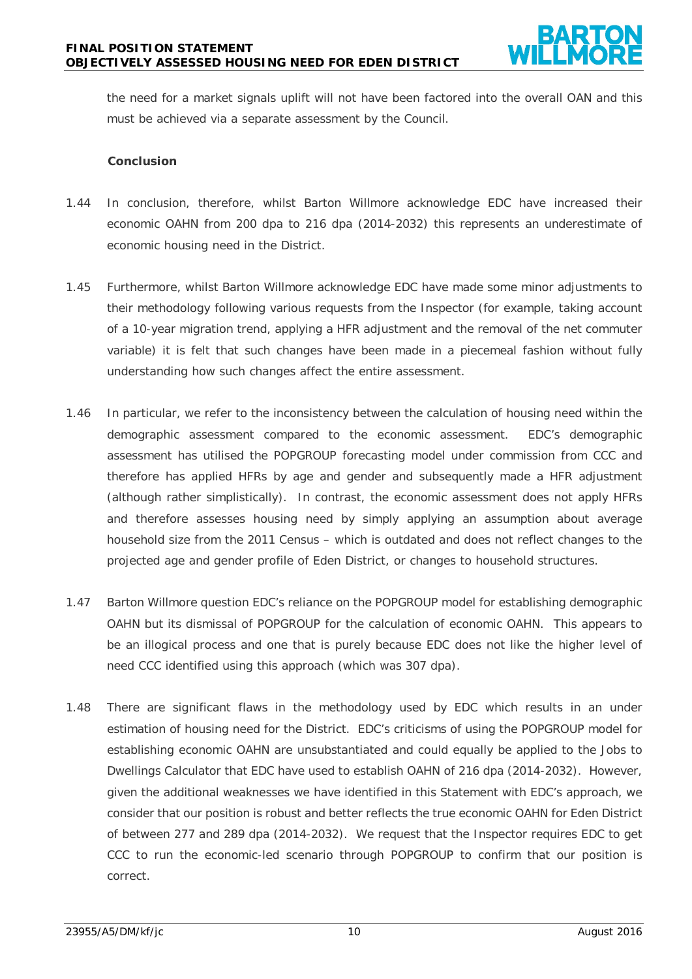the need for a market signals uplift will not have been factored into the overall OAN and this must be achieved via a separate assessment by the Council.

#### **Conclusion**

- 1.44 In conclusion, therefore, whilst Barton Willmore acknowledge EDC have increased their economic OAHN from 200 dpa to 216 dpa (2014-2032) this represents an underestimate of economic housing need in the District.
- 1.45 Furthermore, whilst Barton Willmore acknowledge EDC have made some minor adjustments to their methodology following various requests from the Inspector (for example, taking account of a 10-year migration trend, applying a HFR adjustment and the removal of the net commuter variable) it is felt that such changes have been made in a piecemeal fashion without fully understanding how such changes affect the entire assessment.
- 1.46 In particular, we refer to the inconsistency between the calculation of housing need within the demographic assessment compared to the economic assessment. EDC's demographic assessment has utilised the POPGROUP forecasting model under commission from CCC and therefore has applied HFRs by age and gender and subsequently made a HFR adjustment (although rather simplistically). In contrast, the economic assessment does not apply HFRs and therefore assesses housing need by simply applying an assumption about average household size from the 2011 Census – which is outdated and does not reflect changes to the projected age and gender profile of Eden District, or changes to household structures.
- 1.47 Barton Willmore question EDC's reliance on the POPGROUP model for establishing demographic OAHN but its dismissal of POPGROUP for the calculation of economic OAHN. This appears to be an illogical process and one that is purely because EDC does not like the higher level of need CCC identified using this approach (which was 307 dpa).
- 1.48 There are significant flaws in the methodology used by EDC which results in an under estimation of housing need for the District. EDC's criticisms of using the POPGROUP model for establishing economic OAHN are unsubstantiated and could equally be applied to the Jobs to Dwellings Calculator that EDC have used to establish OAHN of 216 dpa (2014-2032). However, given the additional weaknesses we have identified in this Statement with EDC's approach, we consider that our position is robust and better reflects the true economic OAHN for Eden District of between 277 and 289 dpa (2014-2032). We request that the Inspector requires EDC to get CCC to run the economic-led scenario through POPGROUP to confirm that our position is correct.